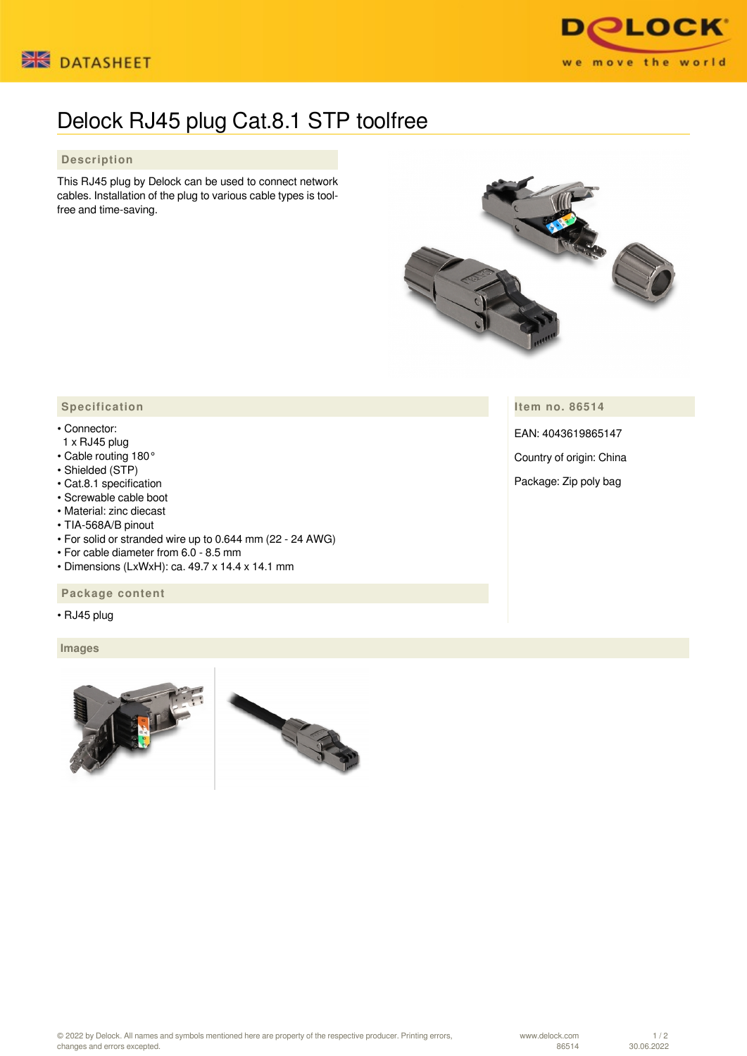



# Delock RJ45 plug Cat.8.1 STP toolfree

## **Description**

This RJ45 plug by Delock can be used to connect network cables. Installation of the plug to various cable types is toolfree and time-saving.



**Item no. 86514**

EAN: 4043619865147

Country of origin: China

Package: Zip poly bag

## **Specification**

### • Connector:

- 1 x RJ45 plug
- Cable routing 180°
- Shielded (STP)
- Cat.8.1 specification
- Screwable cable boot
- Material: zinc diecast
- TIA-568A/B pinout
- For solid or stranded wire up to 0.644 mm (22 24 AWG)
- For cable diameter from 6.0 8.5 mm
- Dimensions (LxWxH): ca. 49.7 x 14.4 x 14.1 mm

### **Package content**

• RJ45 plug

 **Images**